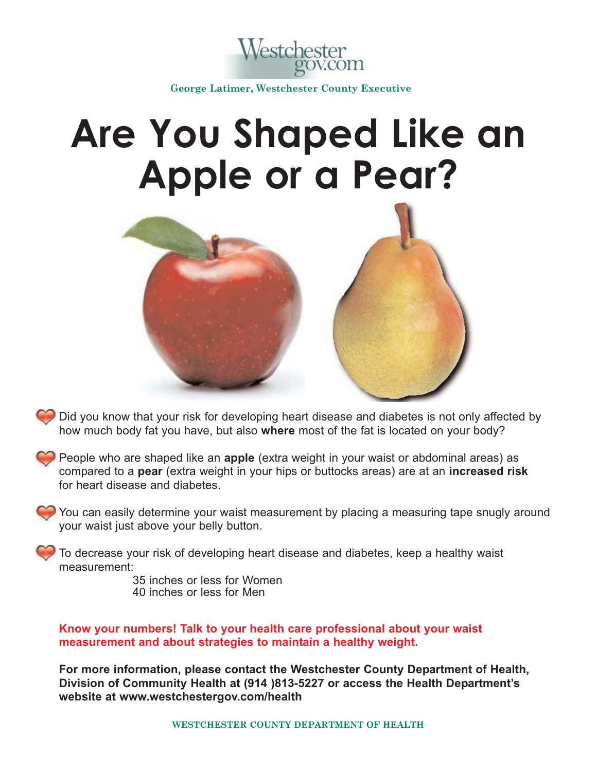

**George Latimer, Westchester County Executive**

## **Are You Shaped Like an Apple or a Pear?**



- Did you know that your risk for developing heart disease and diabetes is not only affected by how much body fat you have, but also **where** most of the fat is located on your body?
- People who are shaped like an **apple** (extra weight in your waist or abdominal areas) as compared to a **pear** (extra weight in your hips or buttocks areas) are at an **increased risk** for heart disease and diabetes.
	- You can easily determine your waist measurement by placing a measuring tape snugly around your waist just above your belly button.

To decrease your risk of developing heart disease and diabetes, keep a healthy waist measurement:

35 inches or less for Women 40 inches or less for Men

**Know your numbers! Talk to your health care professional about your waist measurement and about strategies to maintain a healthy weight.**

**For more information, please contact the Westchester County Department of Health, Division of Community Health at (914 )813-5227 or access the Health Department's website at www.westchestergov.com/health**